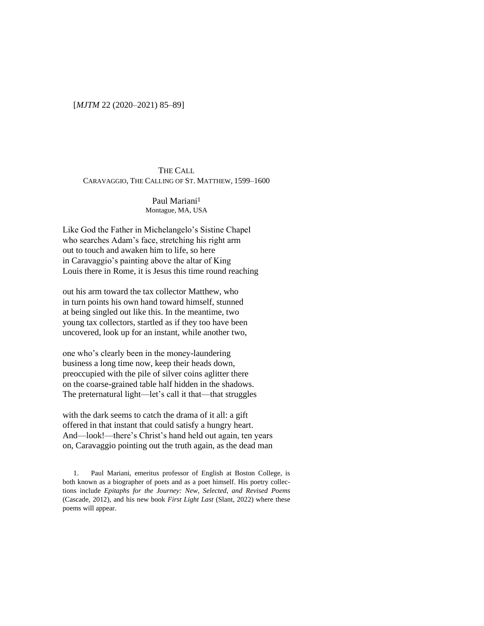## [*MJTM* 22 (2020–2021) 85–89]

# THE CALL CARAVAGGIO, THE CALLING OF ST. MATTHEW, 1599–1600

Paul Mariani<sup>1</sup> Montague, MA, USA

Like God the Father in Michelangelo's Sistine Chapel who searches Adam's face, stretching his right arm out to touch and awaken him to life, so here in Caravaggio's painting above the altar of King Louis there in Rome, it is Jesus this time round reaching

out his arm toward the tax collector Matthew, who in turn points his own hand toward himself, stunned at being singled out like this. In the meantime, two young tax collectors, startled as if they too have been uncovered, look up for an instant, while another two,

one who's clearly been in the money-laundering business a long time now, keep their heads down, preoccupied with the pile of silver coins aglitter there on the coarse-grained table half hidden in the shadows. The preternatural light—let's call it that—that struggles

with the dark seems to catch the drama of it all: a gift offered in that instant that could satisfy a hungry heart. And—look!—there's Christ's hand held out again, ten years on, Caravaggio pointing out the truth again, as the dead man

1. Paul Mariani, emeritus professor of English at Boston College, is both known as a biographer of poets and as a poet himself. His poetry collections include *Epitaphs for the Journey: New, Selected, and Revised Poems* (Cascade, 2012), and his new book *First Light Last* (Slant, 2022) where these poems will appear.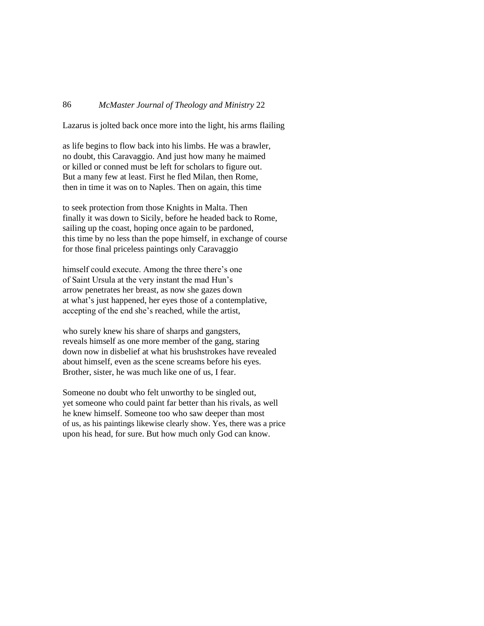# 86 *McMaster Journal of Theology and Ministry* 22

Lazarus is jolted back once more into the light, his arms flailing

as life begins to flow back into his limbs. He was a brawler, no doubt, this Caravaggio. And just how many he maimed or killed or conned must be left for scholars to figure out. But a many few at least. First he fled Milan, then Rome, then in time it was on to Naples. Then on again, this time

to seek protection from those Knights in Malta. Then finally it was down to Sicily, before he headed back to Rome, sailing up the coast, hoping once again to be pardoned, this time by no less than the pope himself, in exchange of course for those final priceless paintings only Caravaggio

himself could execute. Among the three there's one of Saint Ursula at the very instant the mad Hun's arrow penetrates her breast, as now she gazes down at what's just happened, her eyes those of a contemplative, accepting of the end she's reached, while the artist,

who surely knew his share of sharps and gangsters, reveals himself as one more member of the gang, staring down now in disbelief at what his brushstrokes have revealed about himself, even as the scene screams before his eyes. Brother, sister, he was much like one of us, I fear.

Someone no doubt who felt unworthy to be singled out, yet someone who could paint far better than his rivals, as well he knew himself. Someone too who saw deeper than most of us, as his paintings likewise clearly show. Yes, there was a price upon his head, for sure. But how much only God can know.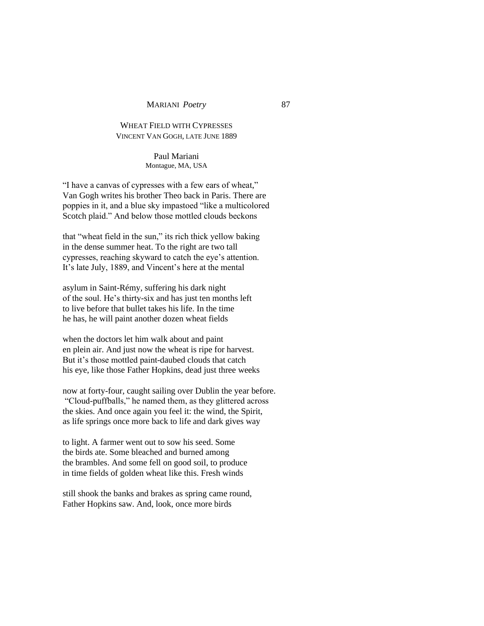#### MARIANI *Poetry* 87

# WHEAT FIELD WITH CYPRESSES VINCENT VAN GOGH, LATE JUNE 1889

Paul Mariani Montague, MA, USA

"I have a canvas of cypresses with a few ears of wheat," Van Gogh writes his brother Theo back in Paris. There are poppies in it, and a blue sky impastoed "like a multicolored Scotch plaid." And below those mottled clouds beckons

that "wheat field in the sun," its rich thick yellow baking in the dense summer heat. To the right are two tall cypresses, reaching skyward to catch the eye's attention. It's late July, 1889, and Vincent's here at the mental

asylum in Saint-Rémy, suffering his dark night of the soul. He's thirty-six and has just ten months left to live before that bullet takes his life. In the time he has, he will paint another dozen wheat fields

when the doctors let him walk about and paint en plein air. And just now the wheat is ripe for harvest. But it's those mottled paint-daubed clouds that catch his eye, like those Father Hopkins, dead just three weeks

now at forty-four, caught sailing over Dublin the year before. "Cloud-puffballs," he named them, as they glittered across the skies. And once again you feel it: the wind, the Spirit, as life springs once more back to life and dark gives way

to light. A farmer went out to sow his seed. Some the birds ate. Some bleached and burned among the brambles. And some fell on good soil, to produce in time fields of golden wheat like this. Fresh winds

still shook the banks and brakes as spring came round, Father Hopkins saw. And, look, once more birds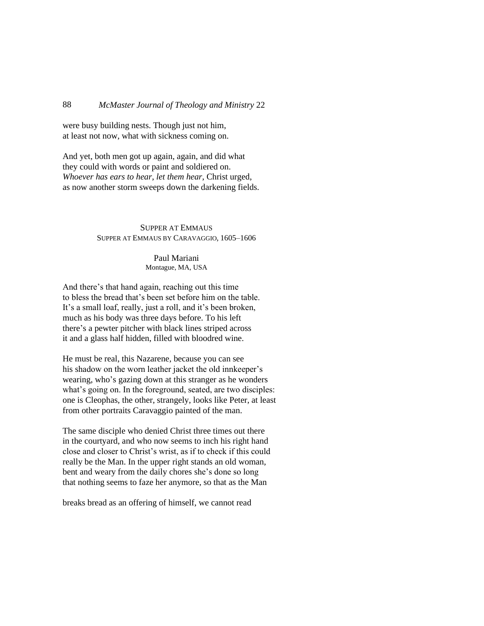### 88 *McMaster Journal of Theology and Ministry* 22

were busy building nests. Though just not him, at least not now, what with sickness coming on.

And yet, both men got up again, again, and did what they could with words or paint and soldiered on. *Whoever has ears to hear*, *let them hear*, Christ urged, as now another storm sweeps down the darkening fields.

# SUPPER AT EMMAUS SUPPER AT EMMAUS BY CARAVAGGIO, 1605–1606

Paul Mariani Montague, MA, USA

And there's that hand again, reaching out this time to bless the bread that's been set before him on the table. It's a small loaf, really, just a roll, and it's been broken, much as his body was three days before. To his left there's a pewter pitcher with black lines striped across it and a glass half hidden, filled with bloodred wine.

He must be real, this Nazarene, because you can see his shadow on the worn leather jacket the old innkeeper's wearing, who's gazing down at this stranger as he wonders what's going on. In the foreground, seated, are two disciples: one is Cleophas, the other, strangely, looks like Peter, at least from other portraits Caravaggio painted of the man.

The same disciple who denied Christ three times out there in the courtyard, and who now seems to inch his right hand close and closer to Christ's wrist, as if to check if this could really be the Man. In the upper right stands an old woman, bent and weary from the daily chores she's done so long that nothing seems to faze her anymore, so that as the Man

breaks bread as an offering of himself, we cannot read